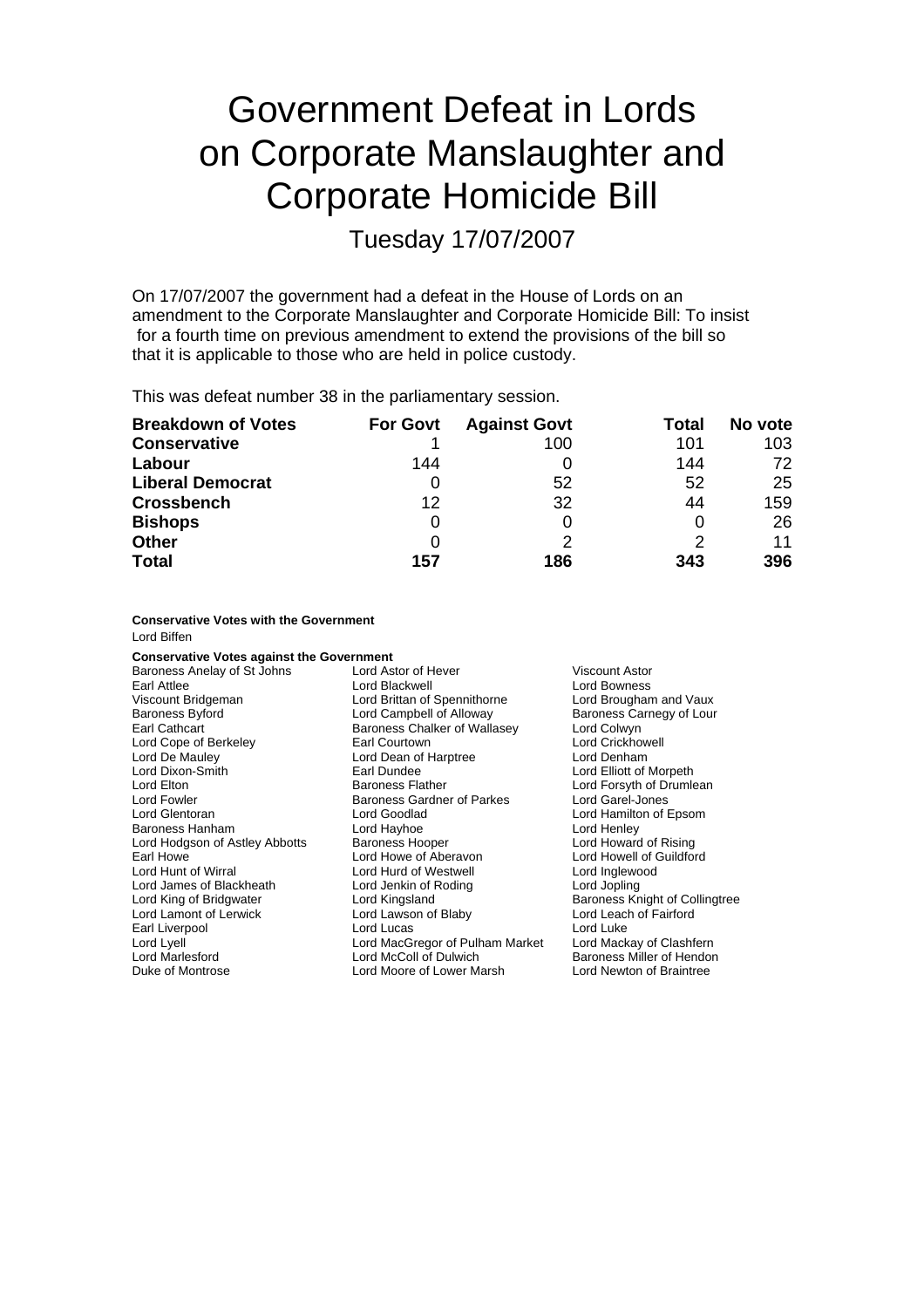# Government Defeat in Lords on Corporate Manslaughter and Corporate Homicide Bill

Tuesday 17/07/2007

On 17/07/2007 the government had a defeat in the House of Lords on an amendment to the Corporate Manslaughter and Corporate Homicide Bill: To insist for a fourth time on previous amendment to extend the provisions of the bill so that it is applicable to those who are held in police custody.

This was defeat number 38 in the parliamentary session.

| <b>Breakdown of Votes</b> | <b>For Govt</b> | <b>Against Govt</b> | Total | No vote |
|---------------------------|-----------------|---------------------|-------|---------|
| <b>Conservative</b>       |                 | 100                 | 101   | 103     |
| Labour                    | 144             |                     | 144   | 72      |
| <b>Liberal Democrat</b>   |                 | 52                  | 52    | 25      |
| <b>Crossbench</b>         | 12              | 32                  | 44    | 159     |
| <b>Bishops</b>            | 0               |                     |       | 26      |
| <b>Other</b>              | 0               |                     |       | 11      |
| <b>Total</b>              | 157             | 186                 | 343   | 396     |

**Conservative Votes with the Government**

Lord Biffen

**Conservative Votes against the Government**

Lord Cope of Berkeley Lord Hodgson of Astley Abbotts Baroness Hooper<br>Farl Howe of Aberavon Duke of Montrose Lord Moore of Lower Marsh Lord Newton of Braintree

Baroness Anelay of St Johns Lord Astor of Hever Viscount Astor<br>
Lord Blackwell Carl Attlee Lord Bowness Lord Blackwell Viscount Bridgeman Lord Brittan of Spennithorne Lord Brougham and Vaux Baroness Byford Lord Campbell of Alloway Baroness Carnegy of Lour Earl Cathcart **Earl Cathcart** Baroness Chalker of Wallasey Lord Colwyn<br> **Baroness Chalker of Wallasey Lord Colly Collect Lord Crickhowell** Lord De Mauley **Lord Dean of Harptree** Lord Denham<br>
Lord Dixon-Smith **Lord Lord Lord Elliott of** Earl Dundee **Lord Elliott of** Lord Elton **Elton Baroness Flather** Lord Forsyth of Drumlean<br>Lord Fowler **Baroness Gardner of Parkes** Lord Garel-Jones Baroness Gardner of Parkes Lord Glentoran Lord Goodlad Lord Hamilton of Epsom Baroness Hanham **Lord Hayhoe** Lord Hayhoe **Lord Henley**<br>
Lord Hodgson of Astley Abbotts Baroness Hooper **Lord Howard of Rising** Lord Hunt of Wirral Lord Hurd of Westwell Lord Inglewood Lord James of Blackheath Lord Jenkin of Roding Lord Jopling Lord Lamont of Lerwick Lord Lawson of Blaby Lord Leach of Fairford Earl Liverpool **Earl Liverpool** Lord Lucas Lord Lucas Lord Luke<br>
Lord Lyell Lord Lyell Lord MacGregor of Pulham Market Lord Mackay of Clashfern Lord Lyell<br>
Lord Mackay Lord MacGregor of Pulham Market<br>
Lord MacColl of Dulwich

Lord Elliott of Morpeth Lord Howell of Guildford Baroness Knight of Collingtree Baroness Miller of Hendon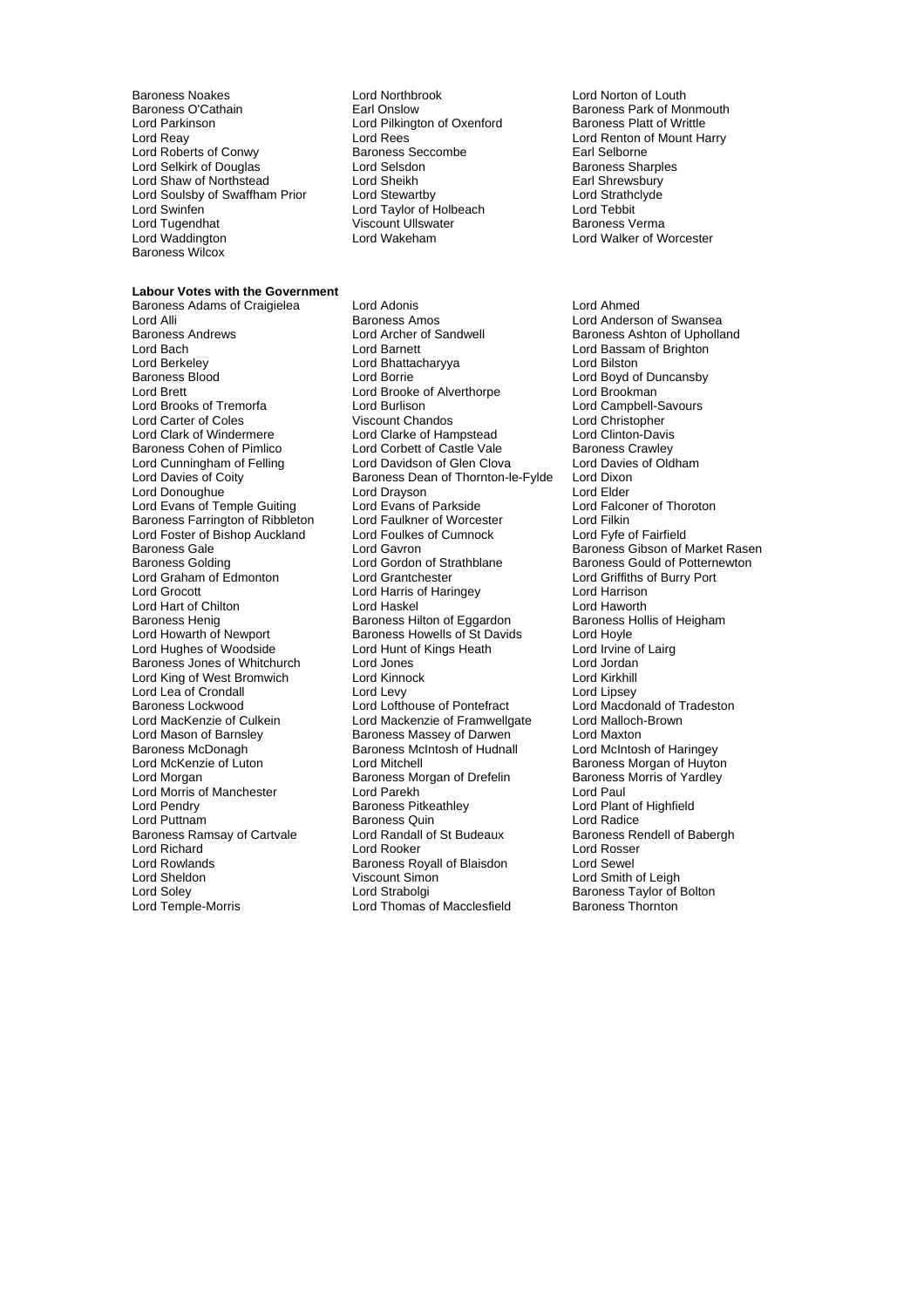external Baroness Noakes Lord Northbrook Lord Norton of Louth<br>Baroness O'Cathain Lord Northbrook Lord Norton Baroness Park of Mc Baroness O'Cathain **Earl Onslow** Earl Onslow Baroness Park of Monmouth<br>
Lord Parkinson **Baroness Platt of Writtle** Lord Parkinson **Lord Pilkington of Oxenford**<br>
Lord Reav<br>
Lord Reav Lord Roberts of Conwy **Baroness Seccombe** Earl Selborne<br>
Lord Selkirk of Douglas **Baroness Sharoles**<br>
Lord Selsdon **Baroness Sharoles** Lord Selkirk of Douglas Lord Selsdon Baroness Sharples Cord Selsdon Baroness Sharples Cord Sheikh Baroness Sharples Cord Sheikh Baroness Sharples Cord Sheikh Baroness Sharples Cord Sheikh Baroness Sharples Cord Sheikh Baro Lord Shaw of Northstead Lord Sheikh Earl Shrewsbury<br>
Lord Soulsby of Swaffham Prior Lord Stewartby Lord Strathclyde Lord Soulsby of Swaffham Prior Lord Stewartby Lord Strathcluster and Strathcluster Lord Strathcluster and Strathcluster Lord Teylor Strathcluster Lord Teylor Strathcluster and Teylor of Holbeach Lord Tebbit Lord Swinfen Lord Taylor of Holbeach Lord Tebbit Lord Tugendhat Viscount Ullswater<br>
Lord Waddington<br>
Lord Wakeham Baroness Wilcox

#### **Labour Votes with the Government**

Lord Berkeley **Lord Bhattacharyya**<br>
Baroness Blood **Corporation**<br>
Lord Borrie Lord Foster of Bishop Auckland Lord King of West Bromwich Lord Morris of Manchester Lord Parekh Lord Pendry<br>Cord Pendry Cord Baroness Pitkeathley Baroness Ramsay of Cartvale Lord Rowlands **Baroness Royall of Blaisdon**<br>
Lord Sheldon **Baroness Royall of State Corporation** 

Baroness Adams of Craigielea Lord Adonis Lord Ahmed Baroness Andrews **Example 2** Lord Archer of Sandwell **Baroness Ashton of Upholland**<br>
Lord Baroness Ashton of Brighton **Corporation**<br>
Lord Baroness Ashton of Brighton Lord Bach **Lord Barnett** Lord Barnett Lord Bassam of Brighton<br>
Lord Barkeley **Lord Bhattacharvya** Lord Bilston<br>
Lord Bilston Lord Brett Lord Brooke of Alverthorpe Lord Brookman<br>Lord Brooks of Tremorfa Lord Burlison Lord Campbell-Lord Brooks of Tremorfa Lord Burlison Lord Campbell-Savours<br>
Lord Carter of Coles 
Lord Carter of Coles
Lord Christopher Viscount Chandos<br>
Lord Clarke of Hampstead<br>
Lord Clinton-Davis Lord Clark of Windermere Lord Clarke of Hampstead Lord Clinton-Davis<br>Baroness Cohen of Pimlico Lord Corbett of Castle Vale Baroness Crawley Baroness Cohen of Pimlico **Lord Corbett of Castle Vale** Baroness Crawley<br>
Lord Cunningham of Felling **Lord Davidson of Glen Clova** Lord Davies of Oldham Lord Cunningham of Felling Lord Davidson of Glen Clova Lord Davies<br>
Lord Davies of Coity **Constant Constant Baroness Dean of Thornton-le-Fylde** Lord Dixon Baroness Dean of Thornton-le-Fylde Lord Donoughue **Lord Drayson**<br>
Lord Evans of Temple Guiting **Lord Evans of Parkside Lord Evans of Lord Falconer of Thoroton** Lord Evans of Temple Guiting Lord Evans of Parkside Lord Ealconers Cord Falconer Cord Falconer Cord Filkin<br>Baroness Farrington of Ribbleton Lord Faulkner of Worcester Lord Filkin Baroness Farrington of Ribbleton Lord Faulkner of Worcester Lord Filkin Baroness Gale <sup>1</sup> 1982 Lord Gavron 1996 Baroness Gibson of Market Rasen<br>Baroness Golding 1996 Lord Gordon of Strathblane 1996 Baroness Gould of Potternewton Baroness Golding **Lord Gordon of Strathblane** Baroness Gould of Potternewton<br>
Lord Graham of Edmonton **Lord Grantchester Baroness Could Strathbaroness** Lord Griffiths of Burry Port Lord Grocott Lord Harris of Haringey Lord Harrison Lord Hart of Chilton **Lord Haskel Cord Havorth**<br>
Baroness Henig **Cord Haskel Lord Havorth**<br>
Baroness Henig Baroness Hilton of Eggardon Baroness Hollis of Heigham Baroness Henig Baroness Hilton of Eggardon Baroness Henigham Baroness Hollis Cord Hoyle<br>
Baroness Howells of St Davids Lord Hoyle Baroness Howells of St Davids Lord Hughes of Woodside **Lord Hunt of Kings Heath** Lord Irvine of Lairg<br>
Baroness Jones of Whitchurch Lord Jones Lord Jones Lord Jordan Baroness Jones of Whitchurch Lord Jones Lord Jordan Lord Lea of Crondall Lord Levy Lord Lipsey Baroness Lockwood **Lord Lord Lofthouse of Pontefract** Lord Macdonald of T<br>
Lord Mackenzie of Culkein Lord Mackenzie of Framwellgate Lord Malloch-Brown Lord Mackenzie of Framwellgate Lord Mason of Barnsley **Baroness Massey of Darwen** Lord Maxton Baroness McDonagh **Baroness McIntosh of Hudnall** Lord McIntosh of Haringey<br>
Lord McKenzie of Luton Lord Mitchell **Multiple Baroness Morgan of Huyto** Lord McKenzie of Luton Lord Mitchell **Lord Mitchell Baroness Morgan of Huyton**<br>Lord Morgan Lord Morgan Baroness Morgan of Drefelin Baroness Morris of Yardley Lord Morgan of Drefelin<br>
Baroness Morgan of Drefelin<br>
Lord Paul<br>
Lord Paul Lord Pendry **Communist Communist Baroness Pitkeathley** Cord Plant of Highfield<br>
Baroness Quin<br>
Lord Puttnam Cord Particle Baroness Quin Baroness Quin<br>
Lord Randall of St Budeaux<br>
Baroness Rendell of Babergh Lord Richard Lord Rooker Lord Rosser Viscount Simon Lord Smith of Leigh<br>
Lord Smith of Leigh<br>
Lord Strabolgi Baroness Taylor of I Lord Soley **Lord Strabolgi Baroness Taylor of Bolton**<br>
Lord Temple-Morris **Lord Thomas of Macclesfield** Baroness Thornton Lord Thomas of Macclesfield

Lord Rees<br>
Baroness Seccombe<br>
Earl Selborne Lord Walker of Worcester

> Lord Anderson of Swansea Lord Boyd of Duncansby Lord Griffiths of Burry Port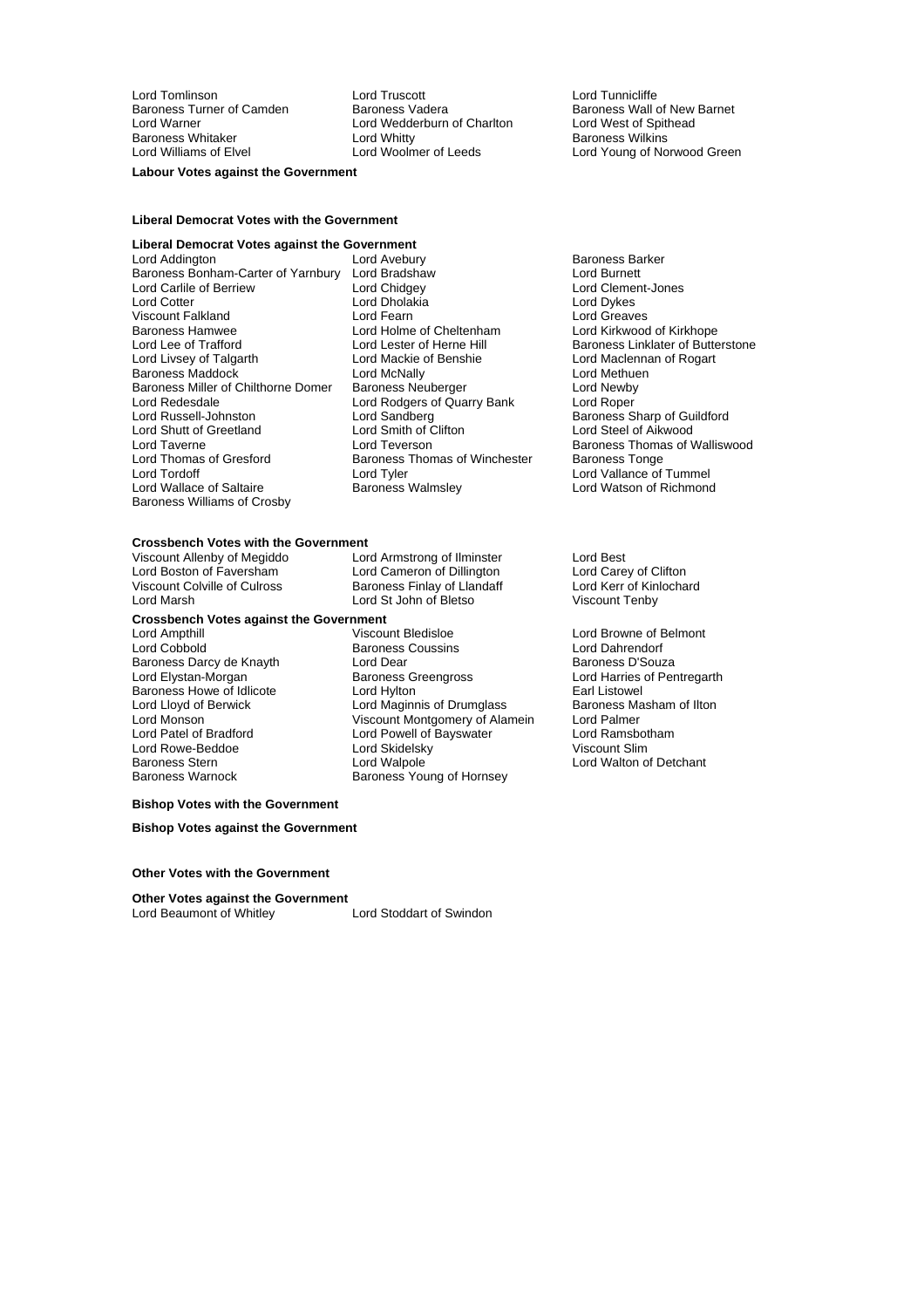Lord Tomlinson Lord Truscott Lord Tunnicliffe Baroness Whitaker **Material Contract Contract Contract Contract Contract Contract Contract Party Contract Party**<br>
Lord Woolmer of Leeds Lord Voung of No

Lord Wedderburn of Charlton

**Labour Votes against the Government**

### **Liberal Democrat Votes with the Government**

### **Liberal Democrat Votes against the Government**

Lord Addington Lord Avebury Baroness Barker Baroness Bonham-Carter of Yarnbury Lord Bradshaw Lord Burnett Lord Carlile of Berriew Lord Chidgey Lord Clement Lord Clement Clement Lord Clement Lord Clement Clement Lord Dvkes Lord Cotter العامل العربية Lord Dholakia<br>المسلم المسلم المسلم المسلم المسلم المسلم المسلم المسلم المسلم المسلم المسلم المسلم المسلم المسلم المسلم المس<br>المسلم المسلم المسلم المسلم المسلم المسلم المسلم المسلم المسلم المسلم Viscount Falkland Lord Fearn Lord Greaves Lord Lee of Trafford **Lord Lester of Herne Hill** Baroness Linklater of Butterstone<br>
Lord Livsey of Talgarth Lord Mackie of Benshie **Lord Mackiennan of Rogart** Baroness Maddock **Lord McNally** Lord Methuendess Maddock Lord Methuendess Neuberger **Lord Methuendess Neuberger** Lord Newby Baroness Miller of Chilthorne Domer Baroness Neuberger Lord Newby Lord Redesdale Lord Rodgers of Quarry Bank<br>
Lord Russell-Johnston Lord Sandberg Lord Shutt of Greetland<br>Lord Taverne Lord Taverne **Lord Teverson**<br>
Lord Thomas of Gresford Baroness Thomas of Winchester Baroness Tonge Lord Thomas of Gresford Baroness Thomas of Winchester<br>
Lord Tordoff Baroness Thomas of Winchester Lord Wallace of Saltaire Baroness Williams of Crosby

Lord Holme of Cheltenham Lord Kirkwood of Kirkhope<br>Lord Lester of Herne Hill Baroness Linklater of Butte Lord Mackie of Benshie Lord Maclennan of Rogart<br>
Lord McNally Lord Methuen Lord Sandberg Baroness Sharp of Guildford<br>
Lord Sandberg Baroness Sharp of Guildford<br>
Lord Steel of Aikwood Lord Tyler<br>Baroness Walmsley **Lord Vallance of Tummel**<br>Lord Watson of Richmond

Baroness Turner of Camden Baroness Vadera Baroness Wall of New Barnet<br>
Lord Warner Camden Barones Vedderburn of Charlton Lord West of Spithead Lord Young of Norwood Green

Lord Boston of Faversham Lord Cameron of Dillington Lord Carey of Clifton<br>Viscount Colville of Culross Saroness Finlay of Llandaff Lord Kerr of Kinlochard

Lord Harries of Pentregarth<br>Farl Listowel

## **Crossbench Votes with the Government**<br>Viscount Allenby of Megiddo **Lord Armstrong of Ilminster**

Viscount Allenby of Megiddo<br>
Lord Boston of Faversham
Lord Cameron of Dillington
Lord Boston of Clifton
Lord Boston of Clifton

Lord Marsh Lord St John of Bletso Viscount Tenby

## **Crossbench Votes against the Government**

Baroness Darcy de Knayth **Lord Dear** Lord Dear Lord Elystan-Morgan<br>
Lord Elystan-Morgan **Baroness** Greengross

Lord Ampthill **Lord Ampthill** Viscount Bledisloe **Lord Browne of Belmont**<br>
Lord Cobbold **Collect Baroness** Coussins Lord Dahrendorf Baroness Coussins Fassex Lord Dahrendorf<br>
Lord Dear
Fassex Coussins<br>
Lord Dear
Baroness D'Souza Baroness Howe of Idlicote<br>
Lord Hylton Earl Listowel<br>
Lord Maginnis of Drumglass Baroness Masham of Ilton<br>
Baroness Masham of Ilton Lord Lloyd of Berwick Lord Maginnis of Drumglass Baroness Manuscular Baroness Maginnis of Drumglass Baroness Ma<br>
Lord Monson Cord Palmer Lord Monson Viscount Montgomery of Alamein Lord Palmer Lord Powell of Bayswater<br>Lord Skidelsky Lord Rowe-Beddoe Lord Skidelsky Viscount Slim Baroness Stern **Exercise Stern Lord Walpole**<br>Baroness Warnock **Baroness Young of Hornsey** Lord Walton of Detchant Baroness Young of Hornsey

Baroness Finlay of Llandaff

### **Bishop Votes with the Government**

**Bishop Votes against the Government**

**Other Votes with the Government**

#### **Other Votes against the Government**

Lord Beaumont of Whitley **Lord Stoddart of Swindon**